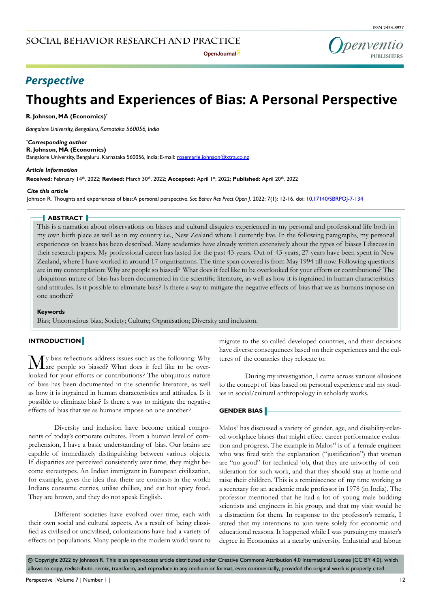

# *Perspective*

# **Thoughts and Experiences of Bias: A Personal Perspective**

**R. Johnson, MA (Economics)\***

*Bangalore University, Bengaluru, Karnataka 560056, India*

#### *\* Corresponding author*

**R. Johnson, MA (Economics)** Bangalore University, Bengaluru, Karnataka 560056, India; E-mail: rosemarie.johnson@xtra.co.nz

#### *Article Information*

**Received:** February 14th, 2022; **Revised:** March 30th, 2022; **Accepted:** April 1st, 2022; **Published:** April 20th, 2022

#### *Cite this article*

Johnson R. Thoughts and experiences of bias: A personal perspective. *Soc Behav Res Pract Open J*. 2022; 7(1): 12-16. doi: [10.17140/SBRPOJ-7-134](http://dx.doi.org/10.17140/SBRPOJ-7-134)

### **ABSTRACT**

This is a narration about observations on biases and cultural disquiets experienced in my personal and professional life both in my own birth place as well as in my country i.e., New Zealand where I currently live. In the following paragraphs, my personal experiences on biases has been described. Many academics have already written extensively about the types of biases I discuss in their research papers. My professional career has lasted for the past 43-years. Out of 43-years, 27-years have been spent in New Zealand, where I have worked in around 17 organisations. The time span covered is from May 1994 till now. Following questions are in my contemplation: Why are people so biased? What does it feel like to be overlooked for your efforts or contributions? The ubiquitous nature of bias has been documented in the scientific literature, as well as how it is ingrained in human characteristics and attitudes. Is it possible to eliminate bias? Is there a way to mitigate the negative effects of bias that we as humans impose on one another?

#### **Keywords**

Bias; Unconscious bias; Society; Culture; Organisation; Diversity and inclusion.

#### **INTRODUCTION**

My bias reflections address issues such as the following: Why are people so biased? What does it feel like to be overlooked for your efforts or contributions? The ubiquitous nature of bias has been documented in the scientific literature, as well as how it is ingrained in human characteristics and attitudes. Is it possible to eliminate bias? Is there a way to mitigate the negative effects of bias that we as humans impose on one another?

Diversity and inclusion have become critical components of today's corporate cultures. From a human level of comprehension, I have a basic understanding of bias. Our brains are capable of immediately distinguishing between various objects. If disparities are perceived consistently over time, they might become stereotypes. An Indian immigrant in European civilization, for example, gives the idea that there are contrasts in the world: Indians consume curries, utilise chillies, and eat hot spicy food. They are brown, and they do not speak English.

Different societies have evolved over time, each with their own social and cultural aspects. As a result of being classified as civilised or uncivilised, colonizations have had a variety of effects on populations. Many people in the modern world want to migrate to the so-called developed countries, and their decisions have diverse consequences based on their experiences and the cultures of the countries they relocate to.

During my investigation, I came across various allusions to the concept of bias based on personal experience and my studies in social/cultural anthropology in scholarly works.

#### **GENDER BIAS**

Malos<sup>[1](#page-4-0)</sup> has discussed a variety of gender, age, and disability-related workplace biases that might effect career performance evaluation and progress. The example in Malos'[1](#page-4-0) is of a female engineer who was fired with the explanation ("justification") that women are "no good" for technical job, that they are unworthy of consideration for such work, and that they should stay at home and raise their children. This is a reminiscence of my time working as a secretary for an academic male professor in 1978 (in India). The professor mentioned that he had a lot of young male budding scientists and engineers in his group, and that my visit would be a distraction for them. In response to the professor's remark, I stated that my intentions to join were solely for economic and educational reasons. It happened while I was pursuing my master's degree in Economics at a nearby university. Industrial and labour

◎ Copyright 2022 by Johnson R. This is an open-access article distributed under Creative Commons Attribution 4.0 International License (CC BY 4.0), which allows to copy, redistribute, remix, transform, and reproduce in any medium or format, even commercially, provided the original work is properly cited.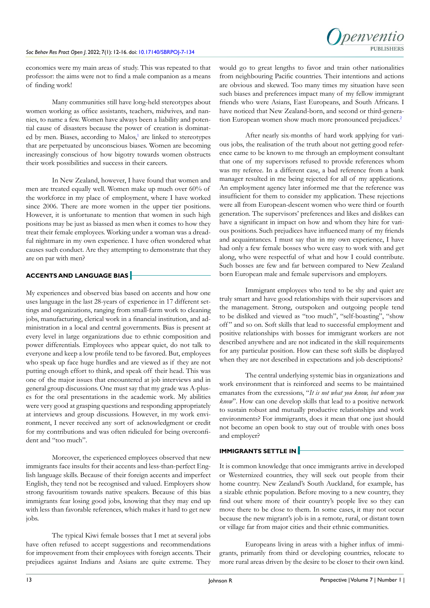#### *Soc Behav Res Pract Open J*. 2022; 7(1): 12-16. doi: [10.17140/SBRPOJ-7-134](http://dx.doi.org/10.17140/SBRPOJ-7-134)



economics were my main areas of study. This was repeated to that professor: the aims were not to find a male companion as a means of finding work!

Many communities still have long-held stereotypes about women working as office assistants, teachers, midwives, and nannies, to name a few. Women have always been a liability and potential cause of disasters because the power of creation is dominat-ed by men. Biases, according to Malos,<sup>[1](#page-4-0)</sup> are linked to stereotypes that are perpetuated by unconscious biases. Women are becoming increasingly conscious of how bigotry towards women obstructs their work possibilities and success in their careers.

In New Zealand, however, I have found that women and men are treated equally well. Women make up much over 60% of the workforce in my place of employment, where I have worked since 2006. There are more women in the upper tier positions. However, it is unfortunate to mention that women in such high positions may be just as biassed as men when it comes to how they treat their female employees. Working under a woman was a dreadful nightmare in my own experience. I have often wondered what causes such conduct. Are they attempting to demonstrate that they are on par with men?

# **ACCENTS AND LANGUAGE BIAS**

My experiences and observed bias based on accents and how one uses language in the last 28-years of experience in 17 different settings and organizations, ranging from small-farm work to cleaning jobs, manufacturing, clerical work in a financial institution, and administration in a local and central governments. Bias is present at every level in large organizations due to ethnic composition and power differentials. Employees who appear quiet, do not talk to everyone and keep a low profile tend to be favored. But, employees who speak up face huge hurdles and are viewed as if they are not putting enough effort to think, and speak off their head. This was one of the major issues that encountered at job interviews and in general group discussions. One must say that my grade was A-pluses for the oral presentations in the academic work. My abilities were very good at grasping questions and responding appropriately at interviews and group discussions. However, in my work environment, I never received any sort of acknowledgment or credit for my contributions and was often ridiculed for being overconfident and "too much".

Moreover, the experienced employees observed that new immigrants face insults for their accents and less-than-perfect English language skills. Because of their foreign accents and imperfect English, they tend not be recognised and valued. Employers show strong favouritism towards native speakers. Because of this bias immigrants fear losing good jobs, knowing that they may end up with less than favorable references, which makes it hard to get new jobs.

The typical Kiwi female bosses that I met at several jobs have often refused to accept suggestions and recommendations for improvement from their employees with foreign accents. Their prejudices against Indians and Asians are quite extreme. They would go to great lengths to favor and train other nationalities from neighbouring Pacific countries. Their intentions and actions are obvious and skewed. Too many times my situation have seen such biases and preferences impact many of my fellow immigrant friends who were Asians, East Europeans, and South Africans. I have noticed that New Zealand-born, and second or third-genera-tion European women show much more pronounced prejudices.<sup>[2](#page-4-1)</sup>

After nearly six-months of hard work applying for various jobs, the realisation of the truth about not getting good reference came to be known to me through an employment consultant that one of my supervisors refused to provide references whom was my referee. In a different case, a bad reference from a bank manager resulted in me being rejected for all of my applications. An employment agency later informed me that the reference was insufficient for them to consider my application. These rejections were all from European-descent women who were third or fourth generation. The supervisors' preferences and likes and dislikes can have a significant in impact on how and whom they hire for various positions. Such prejudices have influenced many of my friends and acquaintances. I must say that in my own experience, I have had only a few female bosses who were easy to work with and get along, who were respectful of what and how I could contribute. Such bosses are few and far between compared to New Zealand born European male and female supervisors and employers.

Immigrant employees who tend to be shy and quiet are truly smart and have good relationships with their supervisors and the management. Strong, outspoken and outgoing people tend to be disliked and viewed as "too much", "self-boasting", "show off" and so on. Soft skills that lead to successful employment and positive relationships with bosses for immigrant workers are not described anywhere and are not indicated in the skill requirements for any particular position. How can these soft skills be displayed when they are not described in expectations and job descriptions?

The central underlying systemic bias in organizations and work environment that is reinforced and seems to be maintained emanates from the exressions, "*It is not what you know, but whom you know*". How can one develop skills that lead to a positive network to sustain robust and mutually productive relationships and work environments? For immigrants, does it mean that one just should not become an open book to stay out of trouble with ones boss and employer?

# **IMMIGRANTS SETTLE IN**

It is common knowledge that once immigrants arrive in developed or Westernized countries, they will seek out people from their home country. New Zealand's South Auckland, for example, has a sizable ethnic population. Before moving to a new country, they find out where more of their country's people live so they can move there to be close to them. In some cases, it may not occur because the new migrant's job is in a remote, rural, or distant town or village far from major cities and their ethnic communities.

Europeans living in areas with a higher influx of immigrants, primarily from third or developing countries, relocate to more rural areas driven by the desire to be closer to their own kind.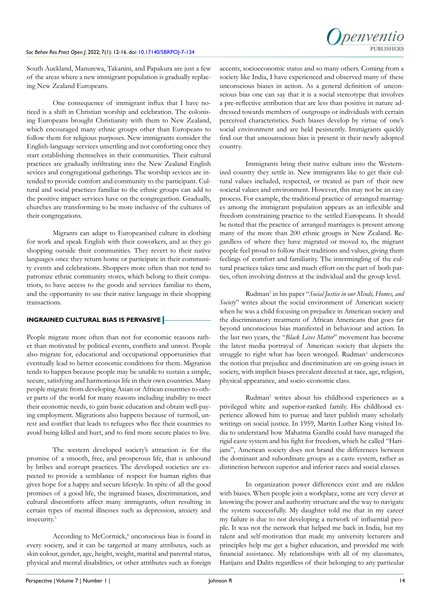

South Auckland, Manurewa, Takanini, and Papakura are just a few of the areas where a new immigrant population is gradually replacing New Zealand Europeans.

One consequence of immigrant influx that I have noticed is a shift in Christian worship and celebration. The colonising Europeans brought Christianity with them to New Zealand, which encouraged many ethnic groups other than Europeans to follow them for religious purposes. New immigrants consider the English-language services unsettling and not comforting once they start establishing themselves in their communities. Their cultural practices are gradually infiltrating into the New Zealand English sevices and congregational gatherings. The worship sevices are intended to provide comfort and community to the participant. Cultural and social practices familiar to the ethnic groups can add to the positive impact services have on the congregattion. Gradually, churches are transforming to be more inclusive of the cultures of their congregations.

Migrants can adapt to Europeanised culture in clothing for work and speak English with their coworkers, and as they go shopping outside their communities. They revert to their native languages once they return home or participate in their community events and celebrations. Shoppers more often than not tend to patronize ethnic community stores, which belong to their compatriots, to have access to the goods and services familiar to them, and the opportunity to use their native language in their shopping transactions.

# **INGRAINED CULTURAL BIAS IS PERVASIVE**

People migrate more often than not for economic reasons rather than motivated by political events, conflicts and unrest. People also migrate for, educational and occupational opportunities that eventually lead to better economic conditions for them. Migration tends to happen because people may be unable to sustain a simple, secure, satisfying and harmonious life in their own countries. Many people migrate from developing Asian or African countries to other parts of the world for many reasons including inability to meet their economic needs, to gain basic education and obtain well-paying employment. Migrations also happens because of turmoil, unrest and conflict that leads to refugees who flee their countries to avoid being killed and hurt, and to find more secure places to live.

The western developed society's attraction is for the promise of a smooth, free, and prosperous life, that is unbound by bribes and corrupt practices. The developed societies are expected to provide a semblance of respect for human rights that gives hope for a happy and secure lifestyle. In spite of all the good promises of a good life, the ingrained biases, discrimination, and cultural discomforts affect many immigrants, often resulting in certain types of mental illnesses such as depression, anxiety and insecurity.<sup>3</sup>

According to McCormick,<sup>[4](#page-4-3)</sup> unconscious bias is found in every society, and it can be targetted at many attributes, such as skin colour, gender, age, height, weight, marital and parental status, physical and mental disabilities, or other attributes such as foreign

accents, socioeconomic status and so many others. Coming from a society like India, I have experienced and observed many of these unconscious biases in action. As a general definition of unconscious bias one can say that it is a social stereotype that involves a pre-reflective attribution that are less than positive in nature addressed towards members of outgroups or individuals with certain perceived characteristics. Such biases develop by virtue of one's social environment and are held pesistently. Immigrants quickly find out that uncounscious bias is present in their newly adopted country.

Immigrants bring their native culture into the Westernized country they settle in. New immigrants like to get their cultural values included, respected, or treated as part of their new societal values and environment. However, this may not be an easy process. For example, the traditional practice of arranged marriages among the immigrant population appears as an inflexible and freedom constraining practice to the settled Europeans. It should be noted that the practice of arranged marriages is present among many of the more than 200 ethnic groups in New Zealand. Regardless of where they have migrated or moved to, the migrant people feel proud to follow their traditions and values, giving them feelings of comfort and familiarity. The intermingling of the cultural practices takes time and much effort on the part of both parties, often involving distress at the individual and the group level.

Rudman[5](#page-4-4) in his paper "*Social Justice in our Minds, Homes, and Society*" writes about the social environment of American society when he was a child focusing on prejudice in American society and the discriminatory treatment of African Americans that goes far beyond unconscious bias manifested in behaviour and action. In the last two years, the "*Black Lives Matter*" movement has become the latest media portrayal of American society that depicts the struggle to right what has been wronged. Rudman<sup>[5](#page-4-4)</sup> underscores the notion that prejudice and discrimination are on-going issues in society, with implicit biases prevalent directed at race, age, religion, physical appearance, and socio-economic class.

Rudman[5](#page-4-4) writes about his childhood experiences as a privileged white and superior-ranked family. His childhood experience allowed him to pursue and later publish many scholarly writings on social justice. In 1959, Martin Luther King visited India to understand how Mahatma Gandhi could have managed the rigid caste system and his fight for freedom, which he called "Harijans", American society does not brand the differences between the dominant and subordinate groups as a caste system, rather as distinction between superior and inferior races and social classes.

In organization power differences exist and are ridden with biases. When people join a workplace, some are very clever at knowing the power and authority structure and the way to navigate the system successfully. My daughter told me that in my career my failure is due to not developing a network of influential people. It was not the network that helped me back in India, but my talent and self-motivation that made my university lecturers and principles help me get a higher education, and provided me with financial assistance. My relationships with all of my classmates, Harijans and Dalits regardless of their belonging to any particular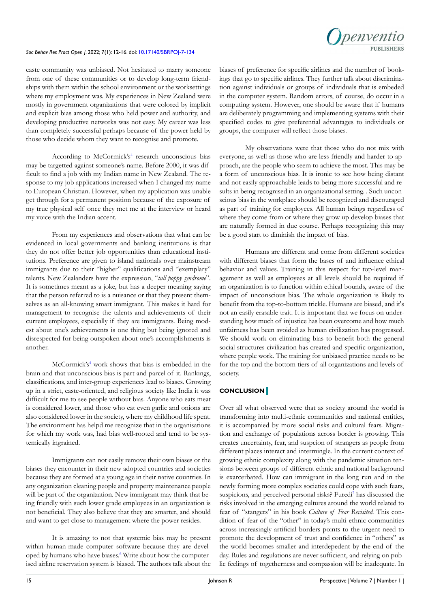#### *Soc Behav Res Pract Open J*. 2022; 7(1): 12-16. doi: [10.17140/SBRPOJ-7-134](http://dx.doi.org/10.17140/SBRPOJ-7-134)



caste community was unbiased. Not hesitated to marry someone from one of these communities or to develop long-term friendships with them within the school environment or the worksettings where my employment was. My experiences in New Zealand were mostly in government organizations that were colored by implicit and explicit bias among those who held power and authority, and developing productive networks was not easy. My career was less than completely successful perhaps because of the power held by those who decide whom they want to recognise and promote.

According to McCormick's<sup>[4](#page-4-3)</sup> research unconscious bias may be targetted against someone's name. Before 2000, it was difficult to find a job with my Indian name in New Zealand. The response to my job applications increased when I changed my name to European Christian. However, when my application was unable get through for a permanent position because of the exposure of my true physical self once they met me at the interview or heard my voice with the Indian accent.

From my experiences and observations that what can be evidenced in local governments and banking institutions is that they do not offer better job opportunities than educational institutions. Preference are given to island nationals over mainstream immigrants due to their "higher" qualifications and "exemplary" talents. New Zealanders have the expression, "*tall poppy syndrome*". It is sometimes meant as a joke, but has a deeper meaning saying that the person referred to is a nuisance or that they present themselves as an all-knowing smart immigrant. This makes it hard for management to recognise the talents and achievements of their current employees, especially if they are immigrants. Being modest about one's achievements is one thing but being ignored and disrespected for being outspoken about one's accomplishments is another.

McCormick's<sup>4</sup> work shows that bias is embedded in the brain and that unconscious bias is part and parcel of it. Rankings, classifications, and inter-group experiences lead to biases. Growing up in a strict, caste-oriented, and religious society like India it was difficult for me to see people without bias. Anyone who eats meat is considered lower, and those who eat even garlic and onions are also considered lower in the society, where my childhood life spent. The environment has helpd me recognize that in the organisations for which my work was, had bias well-rooted and tend to be systemically ingrained.

Immigrants can not easily remove their own biases or the biases they encounter in their new adopted countries and societies because they are formed at a young age in their native countries. In any organization cleaning people and property maintenance people will be part of the organization. New immigrant may think that being friendly with such lower grade employees in an organization is not beneficial. They also believe that they are smarter, and should and want to get close to management where the power resides.

It is amazing to not that systemic bias may be present within human-made computer software because they are developed by humans who have biases.<sup>6</sup> Write about how the computerised airline reservation system is biased. The authors talk about the biases of preference for specific airlines and the number of bookings that go to specific airlines. They further talk about discrimination against individuals or groups of individuals that is embeded in the computer system. Random errors, of course, do occur in a computing system. However, one should be aware that if humans are deliberately programming and implementing systems with their specified codes to give preferential advantages to individuals or groups, the computer will reflect those biases.

My observations were that those who do not mix with everyone, as well as those who are less friendly and harder to approach, are the people who seem to achieve the most. This may be a form of unconscious bias. It is ironic to see how being distant and not easily approachable leads to being more successful and results in being recognised in an organizational setting. . Such unconscious bias in the workplace should be recognized and discouraged as part of training for employees. All human beings regardless of where they come from or where they grow up develop biases that are naturally formed in due course. Perhaps recognizing this may be a good start to diminish the impact of bias.

Humans are different and come from different societies with different biases that form the bases of and influence ethical behavior and values. Training in this respect for top-level management as well as employees at all levels should be required if an organization is to function within ethical bounds, aware of the impact of unconscious bias. The whole organization is likely to benefit from the top-to-bottom trickle. Humans are biased, and it's not an easily erasable trait. It is important that we focus on understanding how much of injustice has been overcome and how much unfairness has been avoided as human civilization has progressed. We should work on eliminating bias to benefit both the general social structures civilization has created and specific organization, where people work. The training for unbiased practice needs to be for the top and the bottom tiers of all organizations and levels of society.

# **CONCLUSION**

Over all what observed were that as society around the world is transforming into multi-ethnic communities and national entities, it is accompanied by more social risks and cultural fears. Migration and exchange of populations across border is growing. This creates uncertainty, fear, and suspcion of strangers as people from different places interact and intermingle. In the current context of growing ethnic complexity along with the pandemic situation tensions between groups of different ethnic and national background is exarcerbated. How can immigrant in the long run and in the newly forming more complex societies could cope with such fears, suspicions, and perceived personal risks? Furedi<sup>7</sup> has discussed the risks involved in the emerging cultures around the world related to fear of "stangers" in his book *Culture of Fear Revisited.* This condition of fear of the "other" in today's multi-ethnic communities across increasingly artificial borders points to the urgent need to promote the development of trust and confidence in "others" as the world becomes smaller and interdepedent by the end of the day. Rules and regulations are never sufficient, and relying on public feelings of togetherness and compassion will be inadequate. In